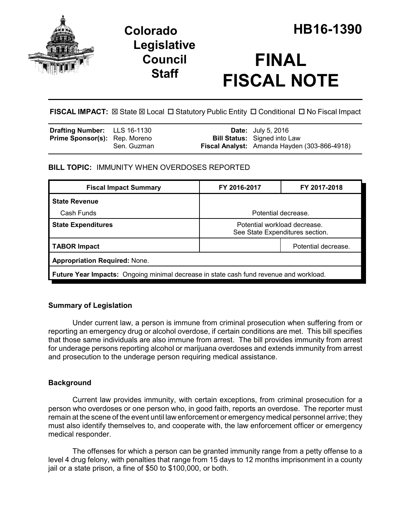

## **Legislative Council Staff**

# **FINAL FISCAL NOTE**

FISCAL IMPACT:  $\boxtimes$  State  $\boxtimes$  Local  $\Box$  Statutory Public Entity  $\Box$  Conditional  $\Box$  No Fiscal Impact

| <b>Drafting Number:</b> LLS 16-1130  |             | <b>Date:</b> July 5, 2016                    |
|--------------------------------------|-------------|----------------------------------------------|
| <b>Prime Sponsor(s):</b> Rep. Moreno |             | <b>Bill Status:</b> Signed into Law          |
|                                      | Sen. Guzman | Fiscal Analyst: Amanda Hayden (303-866-4918) |

## **BILL TOPIC:** IMMUNITY WHEN OVERDOSES REPORTED

| <b>Fiscal Impact Summary</b>                                                           | FY 2016-2017                                                    | FY 2017-2018        |  |  |
|----------------------------------------------------------------------------------------|-----------------------------------------------------------------|---------------------|--|--|
| <b>State Revenue</b>                                                                   |                                                                 |                     |  |  |
| Cash Funds                                                                             | Potential decrease.                                             |                     |  |  |
| <b>State Expenditures</b>                                                              | Potential workload decrease.<br>See State Expenditures section. |                     |  |  |
| <b>TABOR Impact</b>                                                                    |                                                                 | Potential decrease. |  |  |
| <b>Appropriation Required: None.</b>                                                   |                                                                 |                     |  |  |
| Future Year Impacts: Ongoing minimal decrease in state cash fund revenue and workload. |                                                                 |                     |  |  |

## **Summary of Legislation**

Under current law, a person is immune from criminal prosecution when suffering from or reporting an emergency drug or alcohol overdose, if certain conditions are met. This bill specifies that those same individuals are also immune from arrest. The bill provides immunity from arrest for underage persons reporting alcohol or marijuana overdoses and extends immunity from arrest and prosecution to the underage person requiring medical assistance.

## **Background**

Current law provides immunity, with certain exceptions, from criminal prosecution for a person who overdoses or one person who, in good faith, reports an overdose. The reporter must remain at the scene of the event until law enforcement or emergency medical personnel arrive; they must also identify themselves to, and cooperate with, the law enforcement officer or emergency medical responder.

The offenses for which a person can be granted immunity range from a petty offense to a level 4 drug felony, with penalties that range from 15 days to 12 months imprisonment in a county jail or a state prison, a fine of \$50 to \$100,000, or both.